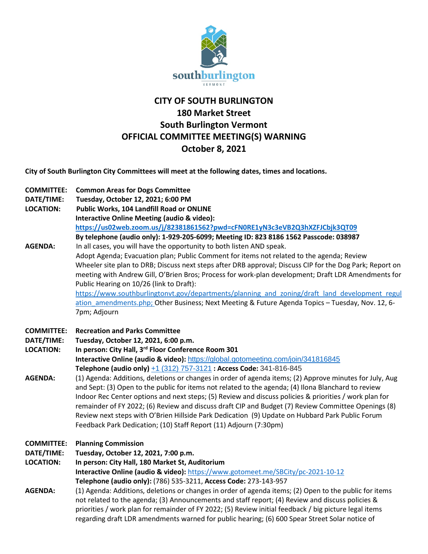

# **CITY OF SOUTH BURLINGTON 180 Market Street South Burlington Vermont OFFICIAL COMMITTEE MEETING(S) WARNING October 8, 2021**

**City of South Burlington City Committees will meet at the following dates, times and locations.** 

| <b>COMMITTEE:</b><br>DATE/TIME:<br><b>LOCATION:</b><br><b>AGENDA:</b> | <b>Common Areas for Dogs Committee</b><br>Tuesday, October 12, 2021; 6:00 PM<br>Public Works, 104 Landfill Road or ONLINE<br><b>Interactive Online Meeting (audio &amp; video):</b><br>https://us02web.zoom.us/j/82381861562?pwd=cFN0RE1yN3c3eVB2Q3hXZFJCbjk3QT09<br>By telephone (audio only): 1-929-205-6099; Meeting ID: 823 8186 1562 Passcode: 038987<br>In all cases, you will have the opportunity to both listen AND speak.<br>Adopt Agenda; Evacuation plan; Public Comment for items not related to the agenda; Review<br>Wheeler site plan to DRB; Discuss next steps after DRB approval; Discuss CIP for the Dog Park; Report on<br>meeting with Andrew Gill, O'Brien Bros; Process for work-plan development; Draft LDR Amendments for                                                                                                                                                         |
|-----------------------------------------------------------------------|-------------------------------------------------------------------------------------------------------------------------------------------------------------------------------------------------------------------------------------------------------------------------------------------------------------------------------------------------------------------------------------------------------------------------------------------------------------------------------------------------------------------------------------------------------------------------------------------------------------------------------------------------------------------------------------------------------------------------------------------------------------------------------------------------------------------------------------------------------------------------------------------------------------|
|                                                                       | Public Hearing on 10/26 (link to Draft):<br>https://www.southburlingtonvt.gov/departments/planning and zoning/draft land development regul<br>ation amendments.php; Other Business; Next Meeting & Future Agenda Topics - Tuesday, Nov. 12, 6-<br>7pm; Adjourn                                                                                                                                                                                                                                                                                                                                                                                                                                                                                                                                                                                                                                              |
| <b>COMMITTEE:</b><br>DATE/TIME:<br><b>LOCATION:</b><br><b>AGENDA:</b> | <b>Recreation and Parks Committee</b><br>Tuesday, October 12, 2021, 6:00 p.m.<br>In person: City Hall, 3rd Floor Conference Room 301<br>Interactive Online (audio & video): https://global.gotomeeting.com/join/341816845<br>Telephone (audio only) +1 (312) 757-3121 : Access Code: 341-816-845<br>(1) Agenda: Additions, deletions or changes in order of agenda items; (2) Approve minutes for July, Aug<br>and Sept: (3) Open to the public for items not related to the agenda; (4) Ilona Blanchard to review<br>Indoor Rec Center options and next steps; (5) Review and discuss policies & priorities / work plan for<br>remainder of FY 2022; (6) Review and discuss draft CIP and Budget (7) Review Committee Openings (8)<br>Review next steps with O'Brien Hillside Park Dedication (9) Update on Hubbard Park Public Forum<br>Feedback Park Dedication; (10) Staff Report (11) Adjourn (7:30pm) |
| <b>COMMITTEE:</b><br>DATE/TIME:<br><b>LOCATION:</b><br><b>AGENDA:</b> | <b>Planning Commission</b><br>Tuesday, October 12, 2021, 7:00 p.m.<br>In person: City Hall, 180 Market St, Auditorium<br>Interactive Online (audio & video): https://www.gotomeet.me/SBCity/pc-2021-10-12<br>Telephone (audio only): (786) 535-3211, Access Code: 273-143-957<br>(1) Agenda: Additions, deletions or changes in order of agenda items; (2) Open to the public for items<br>not related to the agenda; (3) Announcements and staff report; (4) Review and discuss policies &<br>priorities / work plan for remainder of FY 2022; (5) Review initial feedback / big picture legal items                                                                                                                                                                                                                                                                                                       |
|                                                                       | regarding draft LDR amendments warned for public hearing; (6) 600 Spear Street Solar notice of                                                                                                                                                                                                                                                                                                                                                                                                                                                                                                                                                                                                                                                                                                                                                                                                              |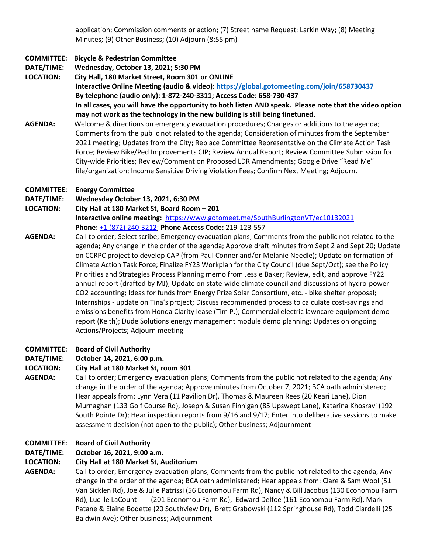application; Commission comments or action; (7) Street name Request: Larkin Way; (8) Meeting Minutes; (9) Other Business; (10) Adjourn (8:55 pm)

## **COMMITTEE: Bicycle & Pedestrian Committee**

**DATE/TIME: Wednesday, October 13, 2021; 5:30 PM**

**LOCATION: City Hall, 180 Market Street, Room 301 or ONLINE Interactive Online Meeting (audio & video)[: https://global.gotomeeting.com/join/658730437](https://global.gotomeeting.com/join/658730437) By telephone (audio only): 1-872-240-3311; Access Code: 658-730-437 In all cases, you will have the opportunity to both listen AND speak. Please note that the video option may not work as the technology in the new building is still being finetuned.**

**AGENDA:** Welcome & directions on emergency evacuation procedures; Changes or additions to the agenda; Comments from the public not related to the agenda; Consideration of minutes from the September 2021 meeting; Updates from the City; Replace Committee Representative on the Climate Action Task Force; Review Bike/Ped Improvements CIP; Review Annual Report; Review Committee Submission for City-wide Priorities; Review/Comment on Proposed LDR Amendments; Google Drive "Read Me" file/organization; Income Sensitive Driving Violation Fees; Confirm Next Meeting; Adjourn.

## **COMMITTEE: Energy Committee**

**DATE/TIME: Wednesday October 13, 2021, 6:30 PM**

**LOCATION: City Hall at 180 Market St, Board Room – 201 Interactive online meeting:** <https://www.gotomeet.me/SouthBurlingtonVT/ec10132021> **Phone:** [+1 \(872\) 240-3212;](tel:+18722403212,,219123557) **Phone Access Code:** 219-123-557

**AGENDA:** Call to order; Select scribe; Emergency evacuation plans; Comments from the public not related to the agenda; Any change in the order of the agenda; Approve draft minutes from Sept 2 and Sept 20; Update on CCRPC project to develop CAP (from Paul Conner and/or Melanie Needle); Update on formation of Climate Action Task Force; Finalize FY23 Workplan for the City Council (due Sept/Oct); see the Policy Priorities and Strategies Process Planning memo from Jessie Baker; Review, edit, and approve FY22 annual report (drafted by MJ); Update on state-wide climate council and discussions of hydro-power CO2 accounting; Ideas for funds from Energy Prize Solar Consortium, etc. - bike shelter proposal; Internships - update on Tina's project; Discuss recommended process to calculate cost-savings and emissions benefits from Honda Clarity lease (Tim P.); Commercial electric lawncare equipment demo report (Keith); Dude Solutions energy management module demo planning; Updates on ongoing Actions/Projects; Adjourn meeting

## **COMMITTEE: Board of Civil Authority**

## **DATE/TIME: October 14, 2021, 6:00 p.m.**

## **LOCATION: City Hall at 180 Market St, room 301**

**AGENDA:** Call to order; Emergency evacuation plans; Comments from the public not related to the agenda; Any change in the order of the agenda; Approve minutes from October 7, 2021; BCA oath administered; Hear appeals from: Lynn Vera (11 Pavilion Dr), Thomas & Maureen Rees (20 Keari Lane), Dion Murnaghan (133 Golf Course Rd), Joseph & Susan Finnigan (85 Upswept Lane), Katarina Khosravi (192 South Pointe Dr); Hear inspection reports from 9/16 and 9/17; Enter into deliberative sessions to make assessment decision (not open to the public); Other business; Adjournment

## **COMMITTEE: Board of Civil Authority**

## **DATE/TIME: October 16, 2021, 9:00 a.m.**

## **LOCATION: City Hall at 180 Market St, Auditorium**

**AGENDA:** Call to order; Emergency evacuation plans; Comments from the public not related to the agenda; Any change in the order of the agenda; BCA oath administered; Hear appeals from: Clare & Sam Wool (51 Van Sicklen Rd), Joe & Julie Patrissi (56 Economou Farm Rd), Nancy & Bill Jacobus (130 Economou Farm Rd), Lucille LaCount (201 Economou Farm Rd), Edward Delfoe (161 Economou Farm Rd), Mark Patane & Elaine Bodette (20 Southview Dr), Brett Grabowski (112 Springhouse Rd), Todd Ciardelli (25 Baldwin Ave); Other business; Adjournment